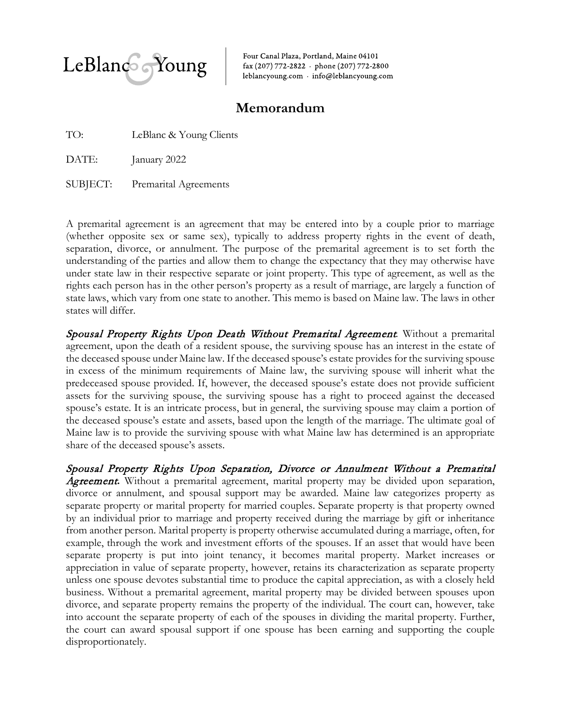

Four Canal Plaza, Portland, Maine 04101 fax (207) 772-2822 · phone (207) 772-2800 leblancyoung.com · info@leblancyoung.com

## **Memorandum**

TO: LeBlanc & Young Clients

DATE: January 2022

SUBJECT: Premarital Agreements

A premarital agreement is an agreement that may be entered into by a couple prior to marriage (whether opposite sex or same sex), typically to address property rights in the event of death, separation, divorce, or annulment. The purpose of the premarital agreement is to set forth the understanding of the parties and allow them to change the expectancy that they may otherwise have under state law in their respective separate or joint property. This type of agreement, as well as the rights each person has in the other person's property as a result of marriage, are largely a function of state laws, which vary from one state to another. This memo is based on Maine law. The laws in other states will differ.

Spousal Property Rights Upon Death Without Premarital Agreement*.* Without a premarital agreement, upon the death of a resident spouse, the surviving spouse has an interest in the estate of the deceased spouse under Maine law. If the deceased spouse's estate provides for the surviving spouse in excess of the minimum requirements of Maine law, the surviving spouse will inherit what the predeceased spouse provided. If, however, the deceased spouse's estate does not provide sufficient assets for the surviving spouse, the surviving spouse has a right to proceed against the deceased spouse's estate. It is an intricate process, but in general, the surviving spouse may claim a portion of the deceased spouse's estate and assets, based upon the length of the marriage. The ultimate goal of Maine law is to provide the surviving spouse with what Maine law has determined is an appropriate share of the deceased spouse's assets.

Spousal Property Rights Upon Separation, Divorce or Annulment Without a Premarital Agreement. Without a premarital agreement, marital property may be divided upon separation, divorce or annulment, and spousal support may be awarded. Maine law categorizes property as separate property or marital property for married couples. Separate property is that property owned by an individual prior to marriage and property received during the marriage by gift or inheritance from another person. Marital property is property otherwise accumulated during a marriage, often, for example, through the work and investment efforts of the spouses. If an asset that would have been separate property is put into joint tenancy, it becomes marital property. Market increases or appreciation in value of separate property, however, retains its characterization as separate property unless one spouse devotes substantial time to produce the capital appreciation, as with a closely held business. Without a premarital agreement, marital property may be divided between spouses upon divorce, and separate property remains the property of the individual. The court can, however, take into account the separate property of each of the spouses in dividing the marital property. Further, the court can award spousal support if one spouse has been earning and supporting the couple disproportionately.